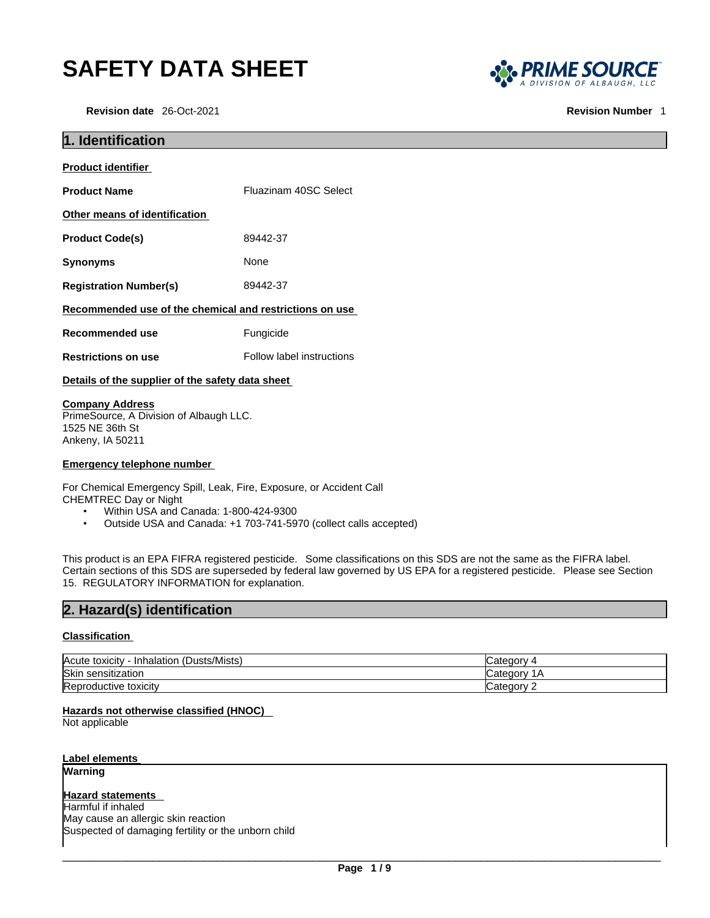# **SAFETY DATA SHEET**



| <b>SAFETY DATA SHEET</b>                                          |                                                         | <b>S<sub>SS</sub></b> PRIME SOURCI |
|-------------------------------------------------------------------|---------------------------------------------------------|------------------------------------|
| Revision date 26-Oct-2021                                         |                                                         | <b>Revision Number</b>             |
| 1. Identification                                                 |                                                         |                                    |
| <b>Product identifier</b>                                         |                                                         |                                    |
| <b>Product Name</b>                                               | Fluazinam 40SC Select                                   |                                    |
| Other means of identification                                     |                                                         |                                    |
| <b>Product Code(s)</b>                                            | 89442-37                                                |                                    |
| <b>Synonyms</b>                                                   | None                                                    |                                    |
| <b>Registration Number(s)</b>                                     | 89442-37                                                |                                    |
|                                                                   | Recommended use of the chemical and restrictions on use |                                    |
| <b>Recommended use</b>                                            | Fungicide                                               |                                    |
| <b>Restrictions on use</b>                                        | Follow label instructions                               |                                    |
| Details of the supplier of the safety data sheet                  |                                                         |                                    |
| <b>Company Address</b><br>PrimeSource, A Division of Albaugh LLC. |                                                         |                                    |

1525 NE 36th St Ankeny, IA 50211

#### **Emergency telephone number**

For Chemical Emergency Spill, Leak, Fire, Exposure, or Accident Call CHEMTREC Day or Night

- Within USA and Canada: 1-800-424-9300
- Outside USA and Canada: +1 703-741-5970 (collect calls accepted)

This product is an EPA FIFRA registered pesticide. Some classifications on this SDS are not the same as the FIFRA label. Certain sections of this SDS are superseded by federal law governed by US EPA for a registered pesticide. Please see Section<br>15. REGULATORY INFORMATION for explanation. FIREFORDING ABJURED.<br>
1525 NE 36th St<br>
Ankeny, IA 50211<br> **Emergency telephone number**<br>
For Chemical Emergency Spill, Leak, Fire, Exposure, or Acciden<br>
CHEMTREC Day or Night<br>
• Within USA and Canada: 1-800-424-9300<br>
• Outsi **Company Address**<br>
PrimeSource, A Division of Albaugh LLC.<br>
1525 NE 36th St<br>
Ankeny, IA 50211<br> **Emergency telephone number**<br>
For Chemical Emergency Spill, Leak, Fire, Exposure, or Accident Call<br>
CHEMTREC Day or Night<br>
"Wit

#### **Classification**

| (Dusts/Mists)<br>Acute toxicity<br>Inhalation | ਾ1enory :<br>Nalcu |
|-----------------------------------------------|--------------------|
| Skin<br>$\cdots$<br>sensitization             | Categor<br>ΓW.     |
| -<br><b>IReproductive toxicity</b>            | ∴ \n∩n∆tr`<br>Nait |

## **Hazards not otherwise classified (HNOC)**

Not applicable

**Label elements Warning** 

**Hazard statements**  Harmful if inhaled May cause an allergic skin reaction Suspected of damaging fertility or the unborn child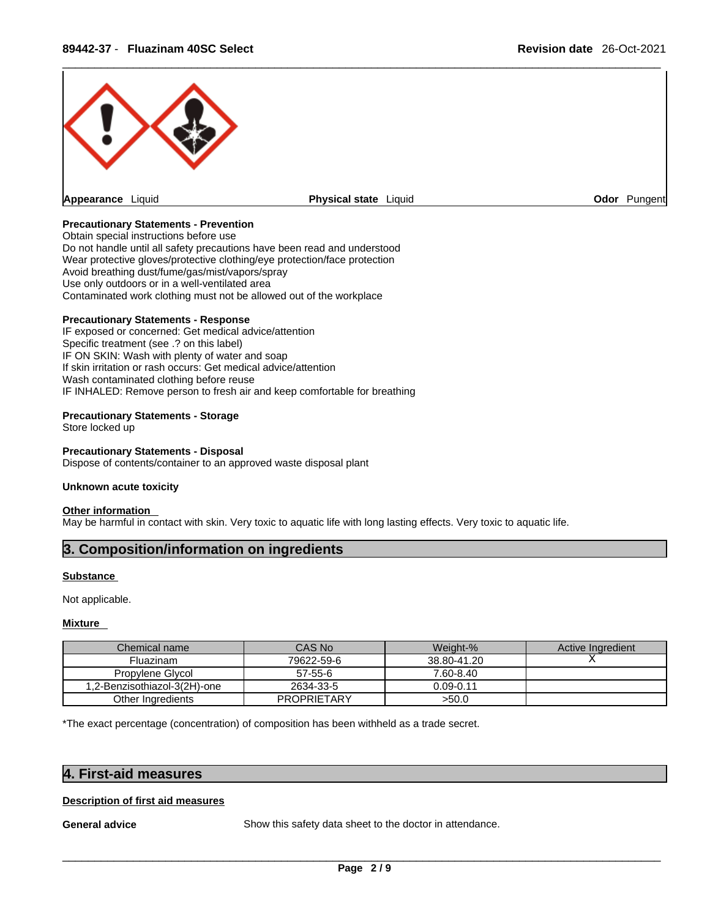

#### **Precautionary Statements - Prevention**

Obtain special instructions before use Do not handle until all safety precautions have been read and understood Wear protective gloves/protective clothing/eye protection/face protection Avoid breathing dust/fume/gas/mist/vapors/spray Use only outdoors or in a well-ventilated area Contaminated work clothing must not be allowed out of the workplace

### **Precautionary Statements - Response**

IF exposed or concerned: Get medical advice/attention Specific treatment (see .? on this label) IF ON SKIN: Wash with plenty of water and soap If skin irritation or rash occurs: Get medical advice/attention Wash contaminated clothing before reuse IF INHALED: Remove person to fresh air and keep comfortable for breathing IF exposed or concerned: Get medical advice/attention<br>Specific treatment (see .? on this label)<br>IF ON SKIN: Wash with plenty of water and soap<br>IF SNin Irritation or rash occurs: Get medical advice/attention<br>Wash contaminat

#### **Precautionary Statements - Storage**

Store locked up

#### **Precautionary Statements - Disposal**

Dispose of contents/container to an approved waste disposal plant

#### **Unknown acute toxicity**

#### **Other information**

May be harmful in contact with skin. Very toxic to aquatic life with long lasting effects. Very toxic to aquatic life.

#### **Substance**

#### **Mixture**

| <b>Substance</b>                                                                                                   |                                                          |               |                   |
|--------------------------------------------------------------------------------------------------------------------|----------------------------------------------------------|---------------|-------------------|
| Not applicable.                                                                                                    |                                                          |               |                   |
| Mixture                                                                                                            |                                                          |               |                   |
| Chemical name                                                                                                      | CAS No                                                   | Weight-%      | Active Ingredient |
| <b>Fluazinam</b>                                                                                                   | 79622-59-6                                               | 38.80-41.20   |                   |
| Propylene Glycol                                                                                                   | 57-55-6                                                  | 7.60-8.40     |                   |
| 1,2-Benzisothiazol-3(2H)-one                                                                                       | 2634-33-5                                                | $0.09 - 0.11$ |                   |
| Other Ingredients                                                                                                  | <b>PROPRIETARY</b>                                       | >50.0         |                   |
| *The exact percentage (concentration) of composition has been withheld as a trade secret.<br>4. First-aid measures |                                                          |               |                   |
| <b>Description of first aid measures</b>                                                                           |                                                          |               |                   |
| <b>General advice</b>                                                                                              | Show this safety data sheet to the doctor in attendance. |               |                   |

#### **Description of first aid measures**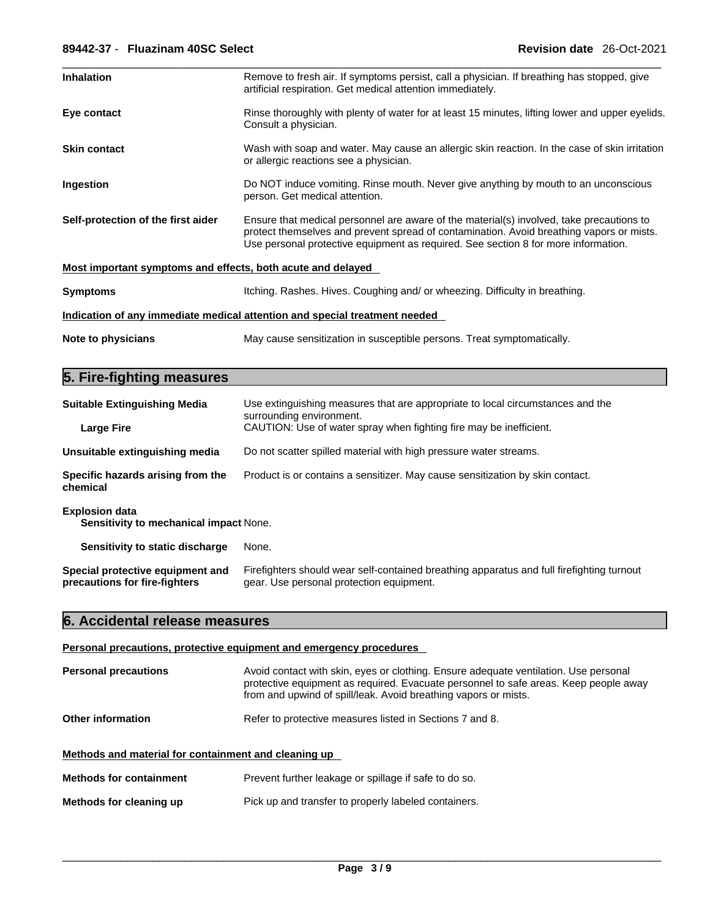| <b>Inhalation</b>                                           | Remove to fresh air. If symptoms persist, call a physician. If breathing has stopped, give<br>artificial respiration. Get medical attention immediately.                                                                                                                   |
|-------------------------------------------------------------|----------------------------------------------------------------------------------------------------------------------------------------------------------------------------------------------------------------------------------------------------------------------------|
| Eye contact                                                 | Rinse thoroughly with plenty of water for at least 15 minutes, lifting lower and upper eyelids.<br>Consult a physician.                                                                                                                                                    |
| <b>Skin contact</b>                                         | Wash with soap and water. May cause an allergic skin reaction. In the case of skin irritation<br>or allergic reactions see a physician.                                                                                                                                    |
| Ingestion                                                   | Do NOT induce vomiting. Rinse mouth. Never give anything by mouth to an unconscious<br>person. Get medical attention.                                                                                                                                                      |
| Self-protection of the first aider                          | Ensure that medical personnel are aware of the material(s) involved, take precautions to<br>protect themselves and prevent spread of contamination. Avoid breathing vapors or mists.<br>Use personal protective equipment as required. See section 8 for more information. |
| Most important symptoms and effects, both acute and delayed |                                                                                                                                                                                                                                                                            |
| <b>Symptoms</b>                                             | Itching. Rashes. Hives. Coughing and/ or wheezing. Difficulty in breathing.                                                                                                                                                                                                |
|                                                             | Indication of any immediate medical attention and special treatment needed                                                                                                                                                                                                 |
| Note to physicians                                          | May cause sensitization in susceptible persons. Treat symptomatically.                                                                                                                                                                                                     |

## **5. Fire-fighting measures**

| <b>Suitable Extinguishing Media</b>                               | Use extinguishing measures that are appropriate to local circumstances and the<br>surrounding environment.                            |  |
|-------------------------------------------------------------------|---------------------------------------------------------------------------------------------------------------------------------------|--|
| <b>Large Fire</b>                                                 | CAUTION: Use of water spray when fighting fire may be inefficient.                                                                    |  |
| Unsuitable extinguishing media                                    | Do not scatter spilled material with high pressure water streams.                                                                     |  |
| Specific hazards arising from the<br>chemical                     | Product is or contains a sensitizer. May cause sensitization by skin contact.                                                         |  |
| <b>Explosion data</b><br>Sensitivity to mechanical impact None.   |                                                                                                                                       |  |
| Sensitivity to static discharge                                   | None.                                                                                                                                 |  |
| Special protective equipment and<br>precautions for fire-fighters | Firefighters should wear self-contained breathing apparatus and full firefighting turnout<br>gear. Use personal protection equipment. |  |

## **6. Accidental release measures**

#### **Personal precautions, protective equipment and emergency procedures**

| <b>Personal precautions</b>                          | Avoid contact with skin, eyes or clothing. Ensure adequate ventilation. Use personal<br>protective equipment as required. Evacuate personnel to safe areas. Keep people away<br>from and upwind of spill/leak. Avoid breathing vapors or mists. |
|------------------------------------------------------|-------------------------------------------------------------------------------------------------------------------------------------------------------------------------------------------------------------------------------------------------|
| Other information                                    | Refer to protective measures listed in Sections 7 and 8.                                                                                                                                                                                        |
| Methods and material for containment and cleaning up |                                                                                                                                                                                                                                                 |
| <b>Methods for containment</b>                       | Prevent further leakage or spillage if safe to do so.                                                                                                                                                                                           |
| Methods for cleaning up                              | Pick up and transfer to properly labeled containers.                                                                                                                                                                                            |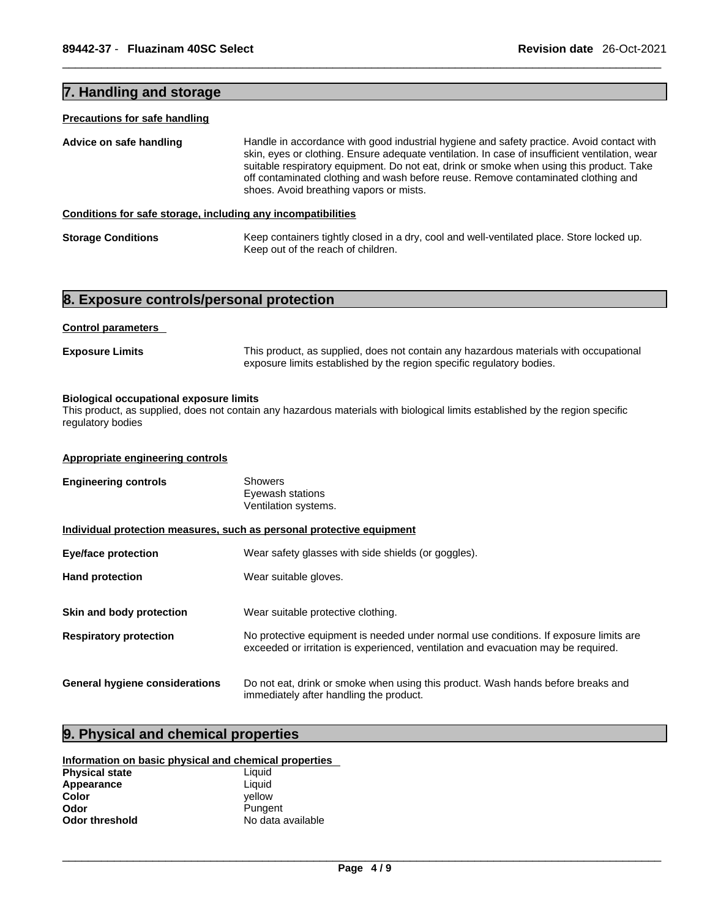### **7. Handling and storage**

#### **Precautions for safe handling**

| Advice on safe handling                                      | Handle in accordance with good industrial hygiene and safety practice. Avoid contact with<br>skin, eyes or clothing. Ensure adequate ventilation. In case of insufficient ventilation, wear<br>suitable respiratory equipment. Do not eat, drink or smoke when using this product. Take<br>off contaminated clothing and wash before reuse. Remove contaminated clothing and<br>shoes. Avoid breathing vapors or mists. |
|--------------------------------------------------------------|-------------------------------------------------------------------------------------------------------------------------------------------------------------------------------------------------------------------------------------------------------------------------------------------------------------------------------------------------------------------------------------------------------------------------|
| Conditions for safe storage, including any incompatibilities |                                                                                                                                                                                                                                                                                                                                                                                                                         |

**Storage Conditions** Keep containers tightly closed in a dry, cool and well-ventilated place. Store locked up. Keep out of the reach of children.

### **8. Exposure controls/personal protection**

#### **Control parameters**

**Exposure Limits** This product, as supplied, does not contain any hazardous materials with occupational exposure limits established by the region specific regulatory bodies.

#### **Biological occupational exposure limits**

This product, as supplied, does not contain any hazardous materials with biological limits established by the region specific regulatory bodies

#### **Appropriate engineering controls**

| <b>Engineering controls</b>                                           | <b>Showers</b><br>Eyewash stations<br>Ventilation systems.                                                                                                                  |  |
|-----------------------------------------------------------------------|-----------------------------------------------------------------------------------------------------------------------------------------------------------------------------|--|
| Individual protection measures, such as personal protective equipment |                                                                                                                                                                             |  |
| <b>Eye/face protection</b>                                            | Wear safety glasses with side shields (or goggles).                                                                                                                         |  |
| <b>Hand protection</b>                                                | Wear suitable gloves.                                                                                                                                                       |  |
| Skin and body protection                                              | Wear suitable protective clothing.                                                                                                                                          |  |
| <b>Respiratory protection</b>                                         | No protective equipment is needed under normal use conditions. If exposure limits are<br>exceeded or irritation is experienced, ventilation and evacuation may be required. |  |
| <b>General hygiene considerations</b>                                 | Do not eat, drink or smoke when using this product. Wash hands before breaks and<br>immediately after handling the product.                                                 |  |

### **9. Physical and chemical properties**

#### **Information on basic physical and chemical properties**

| <b>Physical state</b> | Liquid            |
|-----------------------|-------------------|
| Appearance            | Liauid            |
| Color                 | vellow            |
| Odor                  | Pungent           |
| <b>Odor threshold</b> | No data available |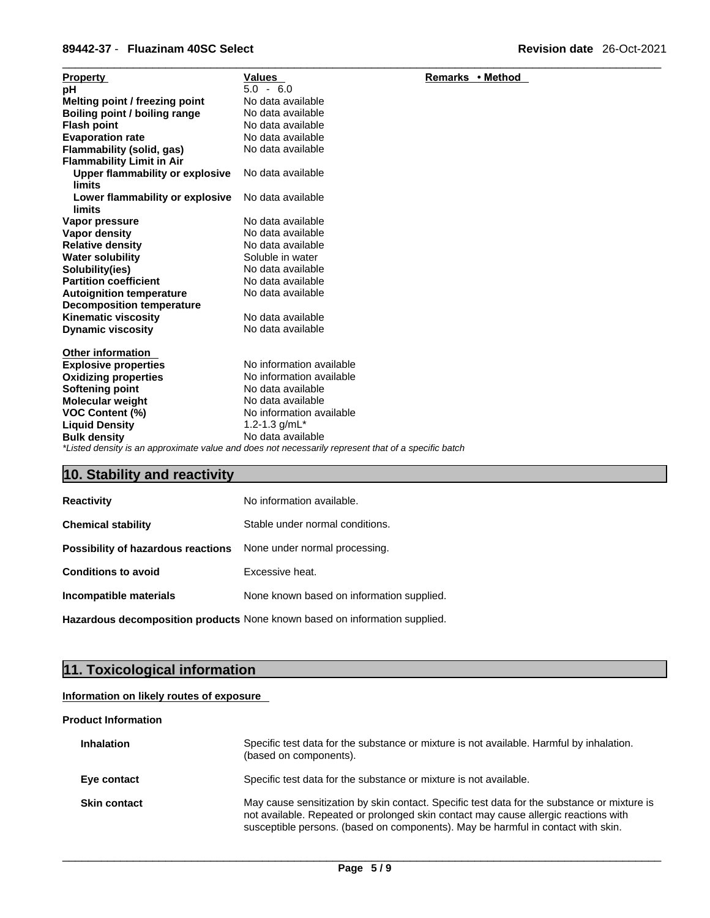#### \_\_\_\_\_\_\_\_\_\_\_\_\_\_\_\_\_\_\_\_\_\_\_\_\_\_\_\_\_\_\_\_\_\_\_\_\_\_\_\_\_\_\_\_\_\_\_\_\_\_\_\_\_\_\_\_\_\_\_\_\_\_\_\_\_\_\_\_\_\_\_\_\_\_\_\_\_\_\_\_\_\_\_\_\_\_\_\_\_\_\_\_\_ **89442-37** - **Fluazinam 40SC Select Revision date** 26-Oct-2021

| <b>Property</b>                                                                                     | Values                   | Remarks • Method |
|-----------------------------------------------------------------------------------------------------|--------------------------|------------------|
| рH                                                                                                  | $5.0 - 6.0$              |                  |
| Melting point / freezing point                                                                      | No data available        |                  |
| Boiling point / boiling range                                                                       | No data available        |                  |
| <b>Flash point</b>                                                                                  | No data available        |                  |
| <b>Evaporation rate</b>                                                                             | No data available        |                  |
| Flammability (solid, gas)                                                                           | No data available        |                  |
| <b>Flammability Limit in Air</b>                                                                    |                          |                  |
| Upper flammability or explosive<br><b>limits</b>                                                    | No data available        |                  |
| Lower flammability or explosive<br>limits                                                           | No data available        |                  |
| Vapor pressure                                                                                      | No data available        |                  |
| <b>Vapor density</b>                                                                                | No data available        |                  |
| <b>Relative density</b>                                                                             | No data available        |                  |
| <b>Water solubility</b>                                                                             | Soluble in water         |                  |
| Solubility(ies)                                                                                     | No data available        |                  |
| <b>Partition coefficient</b>                                                                        | No data available        |                  |
| <b>Autoignition temperature</b>                                                                     | No data available        |                  |
| <b>Decomposition temperature</b>                                                                    |                          |                  |
| <b>Kinematic viscosity</b>                                                                          | No data available        |                  |
| <b>Dynamic viscosity</b>                                                                            | No data available        |                  |
| <b>Other information</b>                                                                            |                          |                  |
| <b>Explosive properties</b>                                                                         | No information available |                  |
| <b>Oxidizing properties</b>                                                                         | No information available |                  |
| <b>Softening point</b>                                                                              | No data available        |                  |
| <b>Molecular weight</b>                                                                             | No data available        |                  |
| VOC Content (%)                                                                                     | No information available |                  |
| <b>Liquid Density</b>                                                                               | 1.2-1.3 $g/mL^*$         |                  |
| <b>Bulk density</b>                                                                                 | No data available        |                  |
| *Listed density is an approximate value and does not necessarily represent that of a specific batch |                          |                  |

## **10. Stability and reactivity**

| <b>Reactivity</b>                                                       | No information available.                 |
|-------------------------------------------------------------------------|-------------------------------------------|
| <b>Chemical stability</b>                                               | Stable under normal conditions.           |
| <b>Possibility of hazardous reactions</b> None under normal processing. |                                           |
| <b>Conditions to avoid</b>                                              | Excessive heat.                           |
| Incompatible materials                                                  | None known based on information supplied. |
|                                                                         |                                           |

**Hazardous decomposition products** None known based on information supplied.

## **11. Toxicological information**

### **Information on likely routes of exposure**

#### **Product Information**

| <b>Inhalation</b>   | Specific test data for the substance or mixture is not available. Harmful by inhalation.<br>(based on components).                                                                                                                                                     |
|---------------------|------------------------------------------------------------------------------------------------------------------------------------------------------------------------------------------------------------------------------------------------------------------------|
| Eye contact         | Specific test data for the substance or mixture is not available.                                                                                                                                                                                                      |
| <b>Skin contact</b> | May cause sensitization by skin contact. Specific test data for the substance or mixture is<br>not available. Repeated or prolonged skin contact may cause allergic reactions with<br>susceptible persons. (based on components). May be harmful in contact with skin. |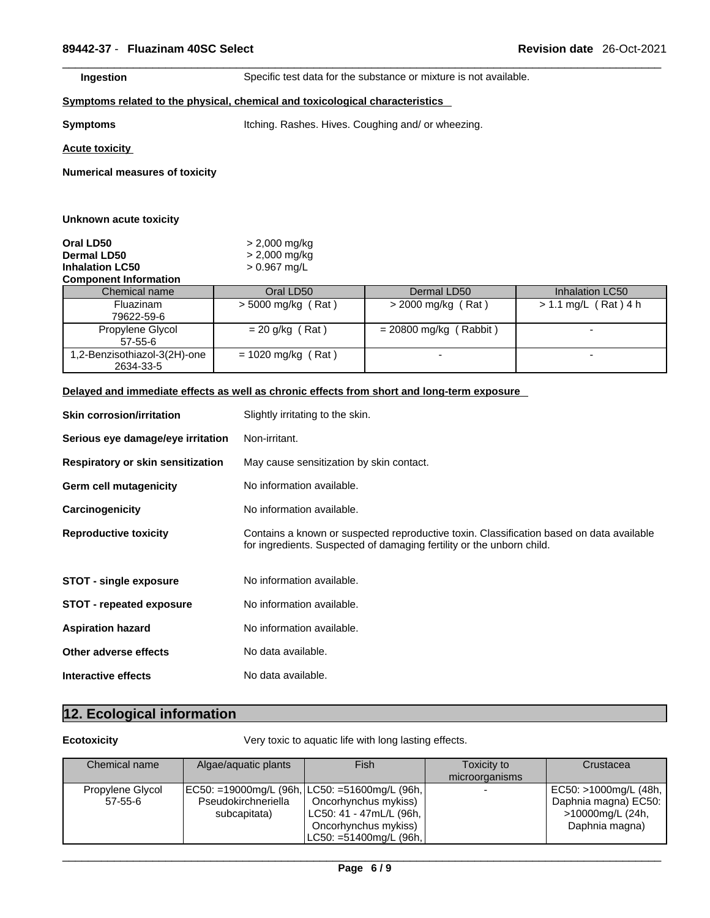**Ingestion Specific test data for the substance or mixture is not available.** 

#### **<u>Symptoms related to the physical, chemical and toxicological characteristics</u>**

**Symptoms Itching. Rashes. Hives. Coughing and/ or wheezing.** 

**Acute toxicity**

**Numerical measures of toxicity**

| Unknown acute toxicity                                                                    |                                                      |                          |                        |
|-------------------------------------------------------------------------------------------|------------------------------------------------------|--------------------------|------------------------|
| Oral LD50<br><b>Dermal LD50</b><br><b>Inhalation LC50</b><br><b>Component Information</b> | $> 2,000$ mg/kg<br>$> 2,000$ mg/kg<br>$> 0.967$ mg/L |                          |                        |
| Chemical name                                                                             | Oral LD50                                            | Dermal LD50              | Inhalation LC50        |
| Fluazinam<br>79622-59-6                                                                   | $>$ 5000 mg/kg (Rat)                                 | $>$ 2000 mg/kg (Rat)     | $> 1.1$ mg/L (Rat) 4 h |
| Propylene Glycol<br>$57 - 55 - 6$                                                         | $= 20$ g/kg (Rat)                                    | $= 20800$ mg/kg (Rabbit) |                        |
| 1,2-Benzisothiazol-3(2H)-one<br>2634-33-5                                                 | $= 1020$ mg/kg (Rat)                                 |                          |                        |

### **Delayed and immediate effects as well as chronic effects from short and long-term exposure**

| <b>Skin corrosion/irritation</b>  | Slightly irritating to the skin.                                                                                                                                  |
|-----------------------------------|-------------------------------------------------------------------------------------------------------------------------------------------------------------------|
| Serious eye damage/eye irritation | Non-irritant.                                                                                                                                                     |
| Respiratory or skin sensitization | May cause sensitization by skin contact.                                                                                                                          |
| Germ cell mutagenicity            | No information available.                                                                                                                                         |
| Carcinogenicity                   | No information available.                                                                                                                                         |
| <b>Reproductive toxicity</b>      | Contains a known or suspected reproductive toxin. Classification based on data available<br>for ingredients. Suspected of damaging fertility or the unborn child. |
| STOT - single exposure            | No information available.                                                                                                                                         |
| <b>STOT - repeated exposure</b>   | No information available.                                                                                                                                         |
| <b>Aspiration hazard</b>          | No information available.                                                                                                                                         |
| Other adverse effects             | No data available.                                                                                                                                                |
| Interactive effects               | No data available.                                                                                                                                                |

## **12. Ecological information**

**Ecotoxicity Very toxic to aquatic life with long lasting effects.** 

| Chemical name                     | Algae/aquatic plants                                                                   | <b>Fish</b>                                                                                           | Toxicity to<br>microorganisms | Crustacea                                                                           |
|-----------------------------------|----------------------------------------------------------------------------------------|-------------------------------------------------------------------------------------------------------|-------------------------------|-------------------------------------------------------------------------------------|
| Propylene Glycol<br>$57 - 55 - 6$ | EC50: =19000mg/L (96h, LC50: =51600mg/L (96h,  <br>Pseudokirchneriella<br>subcapitata) | Oncorhynchus mykiss)<br>LC50: 41 - 47mL/L (96h,  <br>Oncorhynchus mykiss)<br>LC50: =51400mg/L (96h, l |                               | EC50: >1000mg/L (48h,<br>Daphnia magna) EC50:<br>>10000mg/L (24h,<br>Daphnia magna) |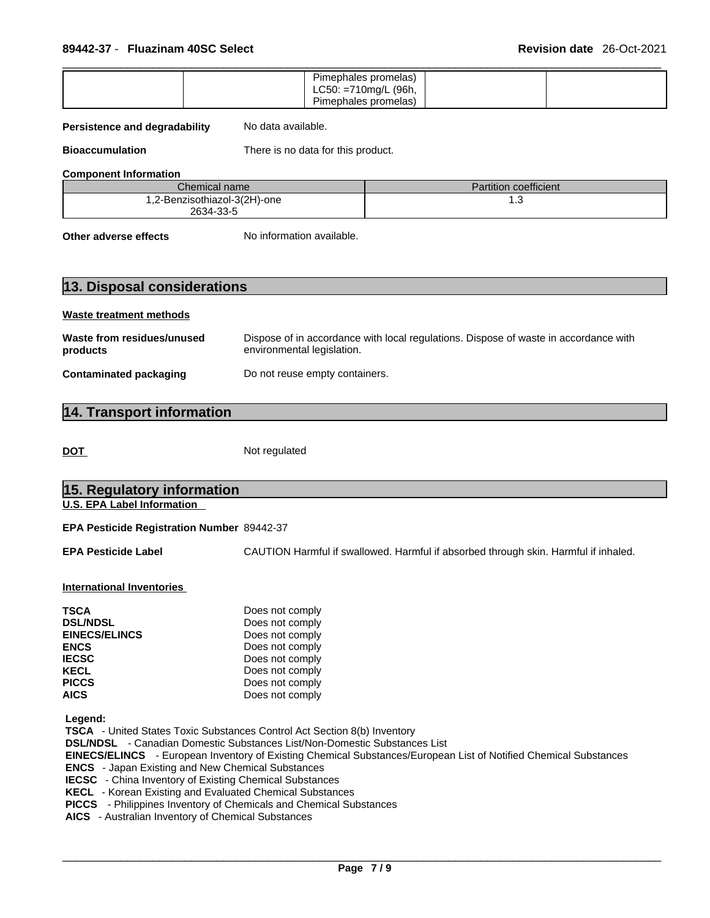|  | Pimephales promelas)<br>$LC50: = 710$ mg/L (96h,<br>Pimephales promelas) |  |  |
|--|--------------------------------------------------------------------------|--|--|
|--|--------------------------------------------------------------------------|--|--|

#### **Persistence and degradability** No data available.

**Bioaccumulation** There is no data for this product.

**Component Information**

| Chemical name l             | Partition coefficient |
|-----------------------------|-----------------------|
| .2-Benzisothiazol-3(2H)-one | ں.،                   |
| 2634-33-5                   |                       |

**Other adverse effects** No information available.

| 13. Disposal considerations |  |  |
|-----------------------------|--|--|
| Waste treatment methods     |  |  |

| Waste from residues/unused    | Dispose of in accordance with local regulations. Dispose of waste in accordance with |
|-------------------------------|--------------------------------------------------------------------------------------|
| products                      | environmental legislation.                                                           |
| <b>Contaminated packaging</b> | Do not reuse empty containers.                                                       |

## **14. Transport information**

DOT Not regulated

| 15. Regulatory information                                                                                                                                                                                                                                                                                                           |                                                                                                                                                                                                                                                                                         |
|--------------------------------------------------------------------------------------------------------------------------------------------------------------------------------------------------------------------------------------------------------------------------------------------------------------------------------------|-----------------------------------------------------------------------------------------------------------------------------------------------------------------------------------------------------------------------------------------------------------------------------------------|
| <b>U.S. EPA Label Information</b>                                                                                                                                                                                                                                                                                                    |                                                                                                                                                                                                                                                                                         |
| EPA Pesticide Registration Number 89442-37                                                                                                                                                                                                                                                                                           |                                                                                                                                                                                                                                                                                         |
| <b>EPA Pesticide Label</b>                                                                                                                                                                                                                                                                                                           | CAUTION Harmful if swallowed. Harmful if absorbed through skin. Harmful if inhaled.                                                                                                                                                                                                     |
| <b>International Inventories</b>                                                                                                                                                                                                                                                                                                     |                                                                                                                                                                                                                                                                                         |
| <b>TSCA</b><br><b>DSL/NDSL</b><br><b>EINECS/ELINCS</b><br><b>ENCS</b><br><b>IECSC</b><br><b>KECL</b><br><b>PICCS</b><br><b>AICS</b>                                                                                                                                                                                                  | Does not comply<br>Does not comply<br>Does not comply<br>Does not comply<br>Does not comply<br>Does not comply<br>Does not comply<br>Does not comply                                                                                                                                    |
| Legend:<br><b>ENCS</b> - Japan Existing and New Chemical Substances<br><b>IECSC</b> - China Inventory of Existing Chemical Substances<br>KECL - Korean Existing and Evaluated Chemical Substances<br><b>PICCS</b> - Philippines Inventory of Chemicals and Chemical Substances<br>AICS - Australian Inventory of Chemical Substances | <b>TSCA</b> - United States Toxic Substances Control Act Section 8(b) Inventory<br><b>DSL/NDSL</b> - Canadian Domestic Substances List/Non-Domestic Substances List<br>EINECS/ELINCS - European Inventory of Existing Chemical Substances/European List of Notified Chemical Substances |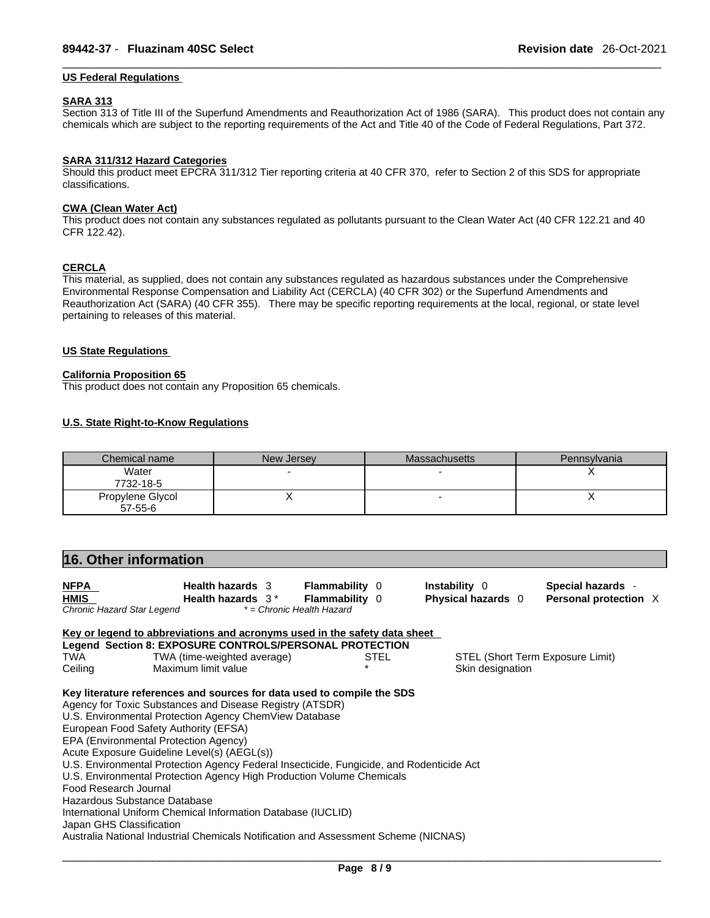#### **US Federal Regulations**

#### **SARA 313**

Section 313 of Title III of the Superfund Amendments and Reauthorization Act of 1986 (SARA). This product does not contain any chemicals which are subject to the reporting requirements of the Act and Title 40 of the Code of Federal Regulations, Part 372.

#### **SARA 311/312 Hazard Categories**

Should this product meet EPCRA 311/312 Tier reporting criteria at 40 CFR 370, refer to Section 2 of this SDS for appropriate classifications.

#### **CWA** (Clean Water Act)

This product does not contain any substances regulated as pollutants pursuant to the Clean Water Act (40 CFR 122.21 and 40 CFR 122.42).

#### **CERCLA**

This material, as supplied, does not contain any substances regulated as hazardous substances under the Comprehensive Environmental Response Compensation and Liability Act (CERCLA) (40 CFR 302) or the Superfund Amendments and Reauthorization Act (SARA) (40 CFR 355). There may be specific reporting requirements at the local, regional, or state level pertaining to releases of this material.

#### **US State Regulations**

#### **California Proposition 65**

This product does not contain any Proposition 65 chemicals.

#### **U.S. State Right-to-Know Regulations**

| Chemical name    | New Jersey | Massachusetts | Pennsylvania |
|------------------|------------|---------------|--------------|
| Water            |            |               |              |
| 7732-18-5        |            |               |              |
| Propylene Glycol |            |               |              |
| $57 - 55 - 6$    |            |               |              |

| 16. Other information                                                                                                                                                                                                                                                                                                                                                                                                                                                                                                                                                                                                                                                                                                                          |                       |                           |                                  |  |
|------------------------------------------------------------------------------------------------------------------------------------------------------------------------------------------------------------------------------------------------------------------------------------------------------------------------------------------------------------------------------------------------------------------------------------------------------------------------------------------------------------------------------------------------------------------------------------------------------------------------------------------------------------------------------------------------------------------------------------------------|-----------------------|---------------------------|----------------------------------|--|
| <b>NFPA</b><br><b>Health hazards</b> 3                                                                                                                                                                                                                                                                                                                                                                                                                                                                                                                                                                                                                                                                                                         | <b>Flammability 0</b> | <b>Instability</b> 0      | Special hazards -                |  |
| <b>HMIS</b><br>Health hazards 3*                                                                                                                                                                                                                                                                                                                                                                                                                                                                                                                                                                                                                                                                                                               | <b>Flammability</b> 0 | <b>Physical hazards</b> 0 | Personal protection X            |  |
| Chronic Hazard Star Legend<br>* = Chronic Health Hazard                                                                                                                                                                                                                                                                                                                                                                                                                                                                                                                                                                                                                                                                                        |                       |                           |                                  |  |
| Key or legend to abbreviations and acronyms used in the safety data sheet                                                                                                                                                                                                                                                                                                                                                                                                                                                                                                                                                                                                                                                                      |                       |                           |                                  |  |
| Legend Section 8: EXPOSURE CONTROLS/PERSONAL PROTECTION                                                                                                                                                                                                                                                                                                                                                                                                                                                                                                                                                                                                                                                                                        |                       |                           |                                  |  |
| TWA<br>TWA (time-weighted average)                                                                                                                                                                                                                                                                                                                                                                                                                                                                                                                                                                                                                                                                                                             | <b>STEL</b>           |                           | STEL (Short Term Exposure Limit) |  |
| Ceiling<br>Maximum limit value                                                                                                                                                                                                                                                                                                                                                                                                                                                                                                                                                                                                                                                                                                                 |                       | Skin designation          |                                  |  |
| Key literature references and sources for data used to compile the SDS<br>Agency for Toxic Substances and Disease Registry (ATSDR)<br>U.S. Environmental Protection Agency ChemView Database<br>European Food Safety Authority (EFSA)<br>EPA (Environmental Protection Agency)<br>Acute Exposure Guideline Level(s) (AEGL(s))<br>U.S. Environmental Protection Agency Federal Insecticide, Fungicide, and Rodenticide Act<br>U.S. Environmental Protection Agency High Production Volume Chemicals<br>Food Research Journal<br>Hazardous Substance Database<br>International Uniform Chemical Information Database (IUCLID)<br>Japan GHS Classification<br>Australia National Industrial Chemicals Notification and Assessment Scheme (NICNAS) |                       |                           |                                  |  |